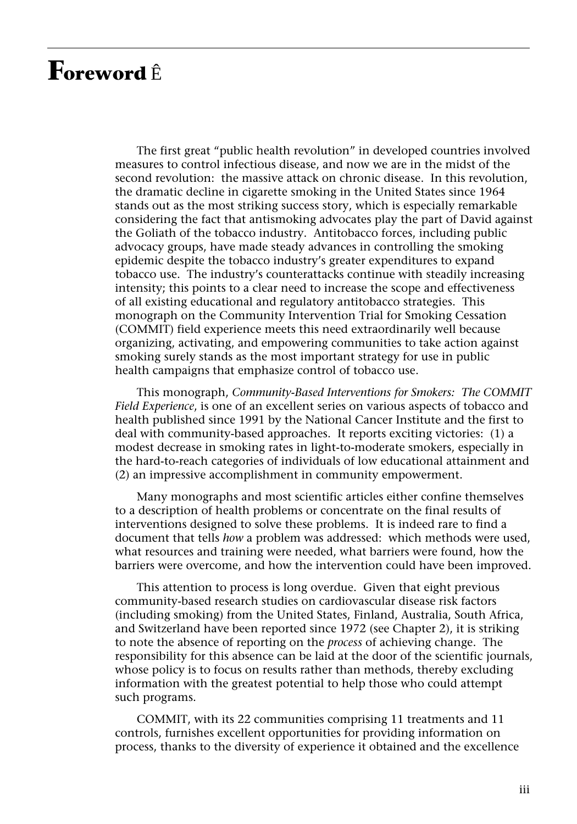## **Foreword** Ê

The first great "public health revolution" in developed countries involved measures to control infectious disease, and now we are in the midst of the second revolution: the massive attack on chronic disease. In this revolution, the dramatic decline in cigarette smoking in the United States since 1964 stands out as the most striking success story, which is especially remarkable considering the fact that antismoking advocates play the part of David against the Goliath of the tobacco industry. Antitobacco forces, including public advocacy groups, have made steady advances in controlling the smoking epidemic despite the tobacco industry's greater expenditures to expand tobacco use. The industry's counterattacks continue with steadily increasing intensity; this points to a clear need to increase the scope and effectiveness of all existing educational and regulatory antitobacco strategies. This monograph on the Community Intervention Trial for Smoking Cessation (COMMIT) field experience meets this need extraordinarily well because organizing, activating, and empowering communities to take action against smoking surely stands as the most important strategy for use in public health campaigns that emphasize control of tobacco use.

This monograph, *Community-Based Interventions for Smokers: The COMMIT Field Experience*, is one of an excellent series on various aspects of tobacco and health published since 1991 by the National Cancer Institute and the first to deal with community-based approaches. It reports exciting victories: (1) a modest decrease in smoking rates in light-to-moderate smokers, especially in the hard-to-reach categories of individuals of low educational attainment and (2) an impressive accomplishment in community empowerment.

Many monographs and most scientific articles either confine themselves to a description of health problems or concentrate on the final results of interventions designed to solve these problems. It is indeed rare to find a document that tells *how* a problem was addressed: which methods were used, what resources and training were needed, what barriers were found, how the barriers were overcome, and how the intervention could have been improved.

This attention to process is long overdue. Given that eight previous community-based research studies on cardiovascular disease risk factors (including smoking) from the United States, Finland, Australia, South Africa, and Switzerland have been reported since 1972 (see Chapter 2), it is striking to note the absence of reporting on the *process* of achieving change. The responsibility for this absence can be laid at the door of the scientific journals, whose policy is to focus on results rather than methods, thereby excluding information with the greatest potential to help those who could attempt such programs.

COMMIT, with its 22 communities comprising 11 treatments and 11 controls, furnishes excellent opportunities for providing information on process, thanks to the diversity of experience it obtained and the excellence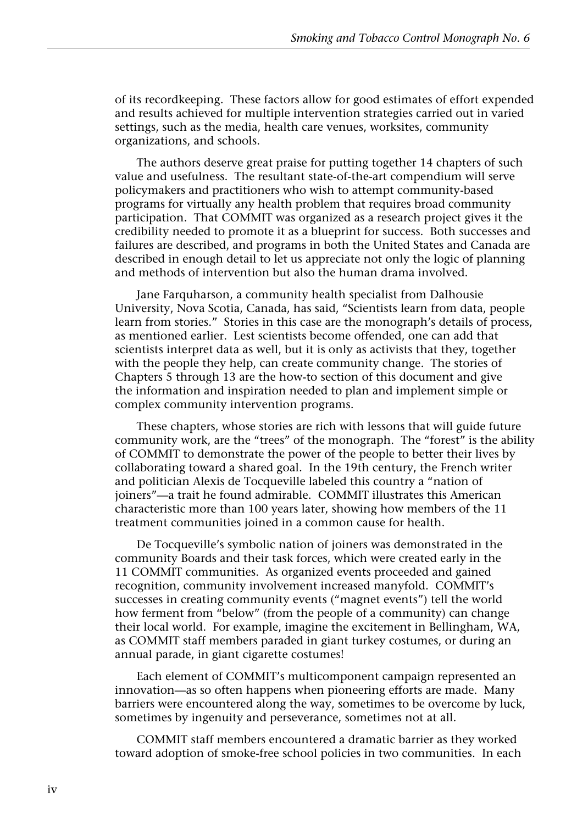of its recordkeeping. These factors allow for good estimates of effort expended and results achieved for multiple intervention strategies carried out in varied settings, such as the media, health care venues, worksites, community organizations, and schools.

The authors deserve great praise for putting together 14 chapters of such value and usefulness. The resultant state-of-the-art compendium will serve policymakers and practitioners who wish to attempt community-based programs for virtually any health problem that requires broad community participation. That COMMIT was organized as a research project gives it the credibility needed to promote it as a blueprint for success. Both successes and failures are described, and programs in both the United States and Canada are described in enough detail to let us appreciate not only the logic of planning and methods of intervention but also the human drama involved.

Jane Farquharson, a community health specialist from Dalhousie University, Nova Scotia, Canada, has said, "Scientists learn from data, people learn from stories." Stories in this case are the monograph's details of process, as mentioned earlier. Lest scientists become offended, one can add that scientists interpret data as well, but it is only as activists that they, together with the people they help, can create community change. The stories of Chapters 5 through 13 are the how-to section of this document and give the information and inspiration needed to plan and implement simple or complex community intervention programs.

These chapters, whose stories are rich with lessons that will guide future community work, are the "trees" of the monograph. The "forest" is the ability of COMMIT to demonstrate the power of the people to better their lives by collaborating toward a shared goal. In the 19th century, the French writer and politician Alexis de Tocqueville labeled this country a "nation of joiners"—a trait he found admirable. COMMIT illustrates this American characteristic more than 100 years later, showing how members of the 11 treatment communities joined in a common cause for health.

De Tocqueville's symbolic nation of joiners was demonstrated in the community Boards and their task forces, which were created early in the 11 COMMIT communities. As organized events proceeded and gained recognition, community involvement increased manyfold. COMMIT's successes in creating community events ("magnet events") tell the world how ferment from "below" (from the people of a community) can change their local world. For example, imagine the excitement in Bellingham, WA, as COMMIT staff members paraded in giant turkey costumes, or during an annual parade, in giant cigarette costumes!

Each element of COMMIT's multicomponent campaign represented an innovation—as so often happens when pioneering efforts are made. Many barriers were encountered along the way, sometimes to be overcome by luck, sometimes by ingenuity and perseverance, sometimes not at all.

COMMIT staff members encountered a dramatic barrier as they worked toward adoption of smoke-free school policies in two communities. In each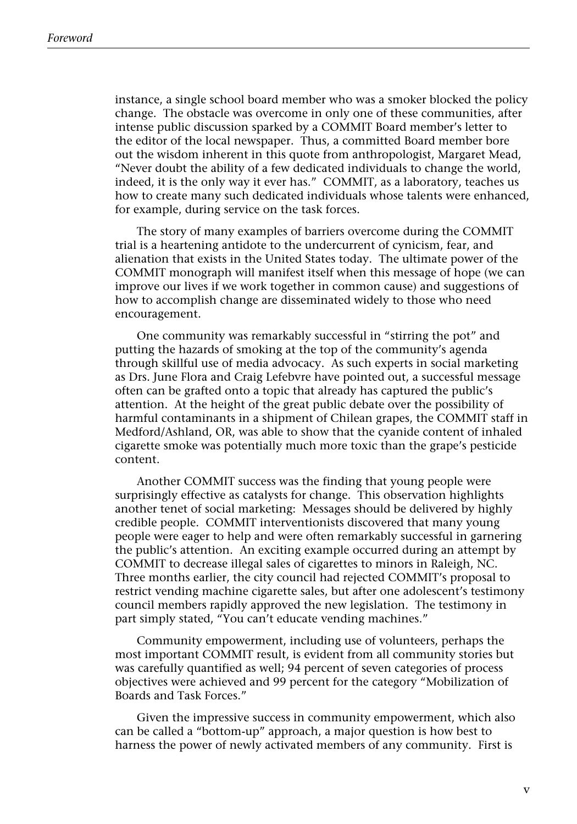instance, a single school board member who was a smoker blocked the policy change. The obstacle was overcome in only one of these communities, after intense public discussion sparked by a COMMIT Board member's letter to the editor of the local newspaper. Thus, a committed Board member bore out the wisdom inherent in this quote from anthropologist, Margaret Mead, "Never doubt the ability of a few dedicated individuals to change the world, indeed, it is the only way it ever has." COMMIT, as a laboratory, teaches us how to create many such dedicated individuals whose talents were enhanced, for example, during service on the task forces.

The story of many examples of barriers overcome during the COMMIT trial is a heartening antidote to the undercurrent of cynicism, fear, and alienation that exists in the United States today. The ultimate power of the COMMIT monograph will manifest itself when this message of hope (we can improve our lives if we work together in common cause) and suggestions of how to accomplish change are disseminated widely to those who need encouragement.

One community was remarkably successful in "stirring the pot" and putting the hazards of smoking at the top of the community's agenda through skillful use of media advocacy. As such experts in social marketing as Drs. June Flora and Craig Lefebvre have pointed out, a successful message often can be grafted onto a topic that already has captured the public's attention. At the height of the great public debate over the possibility of harmful contaminants in a shipment of Chilean grapes, the COMMIT staff in Medford/Ashland, OR, was able to show that the cyanide content of inhaled cigarette smoke was potentially much more toxic than the grape's pesticide content.

Another COMMIT success was the finding that young people were surprisingly effective as catalysts for change. This observation highlights another tenet of social marketing: Messages should be delivered by highly credible people. COMMIT interventionists discovered that many young people were eager to help and were often remarkably successful in garnering the public's attention. An exciting example occurred during an attempt by COMMIT to decrease illegal sales of cigarettes to minors in Raleigh, NC. Three months earlier, the city council had rejected COMMIT's proposal to restrict vending machine cigarette sales, but after one adolescent's testimony council members rapidly approved the new legislation. The testimony in part simply stated, "You can't educate vending machines."

Community empowerment, including use of volunteers, perhaps the most important COMMIT result, is evident from all community stories but was carefully quantified as well; 94 percent of seven categories of process objectives were achieved and 99 percent for the category "Mobilization of Boards and Task Forces."

Given the impressive success in community empowerment, which also can be called a "bottom-up" approach, a major question is how best to harness the power of newly activated members of any community. First is